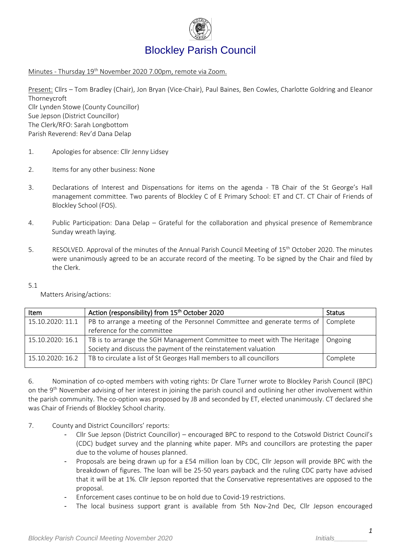

# Blockley Parish Council

Minutes - Thursday 19<sup>th</sup> November 2020 7.00pm, remote via Zoom.

Present: Cllrs – Tom Bradley (Chair), Jon Bryan (Vice-Chair), Paul Baines, Ben Cowles, Charlotte Goldring and Eleanor Thorneycroft Cllr Lynden Stowe (County Councillor) Sue Jepson (District Councillor) The Clerk/RFO: Sarah Longbottom Parish Reverend: Rev'd Dana Delap

- 1. Apologies for absence: Cllr Jenny Lidsey
- 2. Items for any other business: None
- 3. Declarations of Interest and Dispensations for items on the agenda TB Chair of the St George's Hall management committee. Two parents of Blockley C of E Primary School: ET and CT. CT Chair of Friends of Blockley School (FOS).
- 4. Public Participation: Dana Delap Grateful for the collaboration and physical presence of Remembrance Sunday wreath laying.
- 5. RESOLVED. Approval of the minutes of the Annual Parish Council Meeting of 15<sup>th</sup> October 2020. The minutes were unanimously agreed to be an accurate record of the meeting. To be signed by the Chair and filed by the Clerk.
- $5.1$

Matters Arising/actions:

| Item             | Action (responsibility) from 15 <sup>th</sup> October 2020                                 | <b>Status</b> |
|------------------|--------------------------------------------------------------------------------------------|---------------|
| 15.10.2020: 11.1 | PB to arrange a meeting of the Personnel Committee and generate terms of   Complete        |               |
|                  | reference for the committee                                                                |               |
|                  | 15.10.2020: 16.1   TB is to arrange the SGH Management Committee to meet with The Heritage | Ongoing       |
|                  | Society and discuss the payment of the reinstatement valuation                             |               |
|                  | 15.10.2020: 16.2   TB to circulate a list of St Georges Hall members to all councillors    | Complete      |
|                  |                                                                                            |               |

6. Nomination of co-opted members with voting rights: Dr Clare Turner wrote to Blockley Parish Council (BPC) on the 9<sup>th</sup> November advising of her interest in joining the parish council and outlining her other involvement within the parish community. The co-option was proposed by JB and seconded by ET, elected unanimously. CT declared she was Chair of Friends of Blockley School charity.

- 7. County and District Councillors' reports:
	- Cllr Sue Jepson (District Councillor) encouraged BPC to respond to the Cotswold District Council's (CDC) budget survey and the planning white paper. MPs and councillors are protesting the paper due to the volume of houses planned.
	- Proposals are being drawn up for a £54 million loan by CDC, Cllr Jepson will provide BPC with the breakdown of figures. The loan will be 25-50 years payback and the ruling CDC party have advised that it will be at 1%. Cllr Jepson reported that the Conservative representatives are opposed to the proposal.
	- Enforcement cases continue to be on hold due to Covid-19 restrictions.
	- The local business support grant is available from 5th Nov-2nd Dec, Cllr Jepson encouraged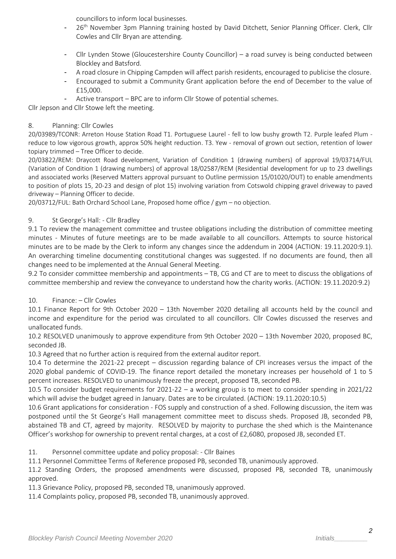councillors to inform local businesses.

- 26<sup>th</sup> November 3pm Planning training hosted by David Ditchett, Senior Planning Officer. Clerk, Cllr Cowles and Cllr Bryan are attending.
- Cllr Lynden Stowe (Gloucestershire County Councillor) a road survey is being conducted between Blockley and Batsford.
- A road closure in Chipping Campden will affect parish residents, encouraged to publicise the closure.
- Encouraged to submit a Community Grant application before the end of December to the value of £15,000.
- Active transport BPC are to inform Cllr Stowe of potential schemes.

Cllr Jepson and Cllr Stowe left the meeting.

### 8. Planning: Cllr Cowles

20/03989/TCONR: Arreton House Station Road T1. Portuguese Laurel - fell to low bushy growth T2. Purple leafed Plum reduce to low vigorous growth, approx 50% height reduction. T3. Yew - removal of grown out section, retention of lower topiary trimmed – Tree Officer to decide.

20/03822/REM: Draycott Road development, Variation of Condition 1 (drawing numbers) of approval 19/03714/FUL (Variation of Condition 1 (drawing numbers) of approval 18/02587/REM (Residential development for up to 23 dwellings and associated works (Reserved Matters approval pursuant to Outline permission 15/01020/OUT) to enable amendments to position of plots 15, 20-23 and design of plot 15) involving variation from Cotswold chipping gravel driveway to paved driveway – Planning Officer to decide.

20/03712/FUL: Bath Orchard School Lane, Proposed home office / gym – no objection.

### 9. St George's Hall: - Cllr Bradley

9.1 To review the management committee and trustee obligations including the distribution of committee meeting minutes - Minutes of future meetings are to be made available to all councillors. Attempts to source historical minutes are to be made by the Clerk to inform any changes since the addendum in 2004 (ACTION: 19.11.2020:9.1). An overarching timeline documenting constitutional changes was suggested. If no documents are found, then all changes need to be implemented at the Annual General Meeting.

9.2 To consider committee membership and appointments – TB, CG and CT are to meet to discuss the obligations of committee membership and review the conveyance to understand how the charity works. (ACTION: 19.11.2020:9.2)

### 10. Finance: – Cllr Cowles

10.1 Finance Report for 9th October 2020 – 13th November 2020 detailing all accounts held by the council and income and expenditure for the period was circulated to all councillors. Cllr Cowles discussed the reserves and unallocated funds.

10.2 RESOLVED unanimously to approve expenditure from 9th October 2020 – 13th November 2020, proposed BC, seconded JB.

10.3 Agreed that no further action is required from the external auditor report.

10.4 To determine the 2021-22 precept – discussion regarding balance of CPI increases versus the impact of the 2020 global pandemic of COVID-19. The finance report detailed the monetary increases per household of 1 to 5 percent increases. RESOLVED to unanimously freeze the precept, proposed TB, seconded PB.

10.5 To consider budget requirements for 2021-22 – a working group is to meet to consider spending in 2021/22 which will advise the budget agreed in January. Dates are to be circulated. (ACTION: 19.11.2020:10.5)

10.6 Grant applications for consideration - FOS supply and construction of a shed. Following discussion, the item was postponed until the St George's Hall management committee meet to discuss sheds. Proposed JB, seconded PB, abstained TB and CT, agreed by majority. RESOLVED by majority to purchase the shed which is the Maintenance Officer's workshop for ownership to prevent rental charges, at a cost of £2,6080, proposed JB, seconded ET.

11. Personnel committee update and policy proposal: - Cllr Baines

11.1 Personnel Committee Terms of Reference proposed PB, seconded TB, unanimously approved.

11.2 Standing Orders, the proposed amendments were discussed, proposed PB, seconded TB, unanimously approved.

11.3 Grievance Policy, proposed PB, seconded TB, unanimously approved.

11.4 Complaints policy, proposed PB, seconded TB, unanimously approved.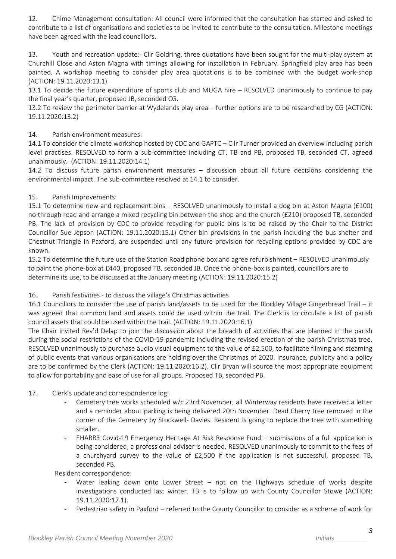12. Chime Management consultation: All council were informed that the consultation has started and asked to contribute to a list of organisations and societies to be invited to contribute to the consultation. Milestone meetings have been agreed with the lead councillors.

13. Youth and recreation update:- Cllr Goldring, three quotations have been sought for the multi-play system at Churchill Close and Aston Magna with timings allowing for installation in February. Springfield play area has been painted. A workshop meeting to consider play area quotations is to be combined with the budget work-shop (ACTION: 19.11.2020:13.1)

13.1 To decide the future expenditure of sports club and MUGA hire – RESOLVED unanimously to continue to pay the final year's quarter, proposed JB, seconded CG.

13.2 To review the perimeter barrier at Wydelands play area – further options are to be researched by CG (ACTION: 19.11.2020:13.2)

# 14. Parish environment measures:

14.1 To consider the climate workshop hosted by CDC and GAPTC – Cllr Turner provided an overview including parish level practises. RESOLVED to form a sub-committee including CT, TB and PB, proposed TB, seconded CT, agreed unanimously. (ACTION: 19.11.2020:14.1)

14.2 To discuss future parish environment measures – discussion about all future decisions considering the environmental impact. The sub-committee resolved at 14.1 to consider.

### 15. Parish Improvements:

15.1 To determine new and replacement bins – RESOLVED unanimously to install a dog bin at Aston Magna (£100) no through road and arrange a mixed recycling bin between the shop and the church (£210) proposed TB, seconded PB. The lack of provision by CDC to provide recycling for public bins is to be raised by the Chair to the District Councillor Sue Jepson (ACTION: 19.11.2020:15.1) Other bin provisions in the parish including the bus shelter and Chestnut Triangle in Paxford, are suspended until any future provision for recycling options provided by CDC are known.

15.2 To determine the future use of the Station Road phone box and agree refurbishment – RESOLVED unanimously to paint the phone-box at £440, proposed TB, seconded JB. Once the phone-box is painted, councillors are to determine its use, to be discussed at the January meeting (ACTION: 19.11.2020:15.2)

### 16. Parish festivities - to discuss the village's Christmas activities

16.1 Councillors to consider the use of parish land/assets to be used for the Blockley Village Gingerbread Trail – it was agreed that common land and assets could be used within the trail. The Clerk is to circulate a list of parish council assets that could be used within the trail. (ACTION: 19.11.2020:16.1)

The Chair invited Rev'd Delap to join the discussion about the breadth of activities that are planned in the parish during the social restrictions of the COVID-19 pandemic including the revised erection of the parish Christmas tree. RESOLVED unanimously to purchase audio visual equipment to the value of £2,500, to facilitate filming and steaming of public events that various organisations are holding over the Christmas of 2020. Insurance, publicity and a policy are to be confirmed by the Clerk (ACTION: 19.11.2020:16.2). Cllr Bryan will source the most appropriate equipment to allow for portability and ease of use for all groups. Proposed TB, seconded PB.

### 17. Clerk's update and correspondence log:

- Cemetery tree works scheduled w/c 23rd November, all Winterway residents have received a letter and a reminder about parking is being delivered 20th November. Dead Cherry tree removed in the corner of the Cemetery by Stockwell- Davies. Resident is going to replace the tree with something smaller.
- EHARR3 Covid-19 Emergency Heritage At Risk Response Fund submissions of a full application is being considered, a professional adviser is needed. RESOLVED unanimously to commit to the fees of a churchyard survey to the value of £2,500 if the application is not successful, proposed TB, seconded PB.

Resident correspondence:

- Water leaking down onto Lower Street  $-$  not on the Highways schedule of works despite investigations conducted last winter. TB is to follow up with County Councillor Stowe (ACTION: 19.11.2020:17.1).
- Pedestrian safety in Paxford referred to the County Councillor to consider as a scheme of work for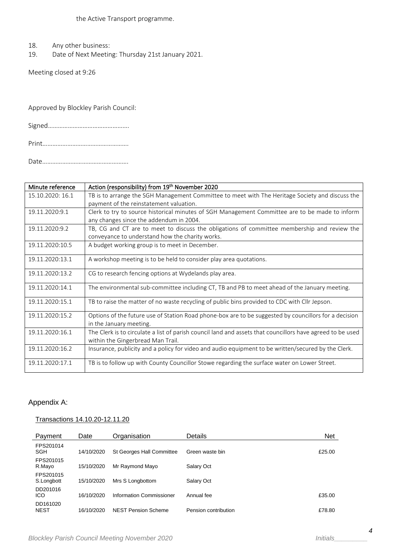- 18. Any other business:
- 19. Date of Next Meeting: Thursday 21st January 2021.

Meeting closed at 9:26

Approved by Blockley Parish Council:

Signed………………………………………….

Print…………………………………………….

Date…………………………………………….

| Minute reference | Action (responsibility) from 19th November 2020                                                                                                 |
|------------------|-------------------------------------------------------------------------------------------------------------------------------------------------|
| 15.10.2020: 16.1 | TB is to arrange the SGH Management Committee to meet with The Heritage Society and discuss the                                                 |
|                  | payment of the reinstatement valuation.                                                                                                         |
| 19.11.2020:9.1   | Clerk to try to source historical minutes of SGH Management Committee are to be made to inform                                                  |
|                  | any changes since the addendum in 2004.                                                                                                         |
| 19.11.2020:9.2   | TB, CG and CT are to meet to discuss the obligations of committee membership and review the                                                     |
|                  | conveyance to understand how the charity works.                                                                                                 |
| 19.11.2020:10.5  | A budget working group is to meet in December.                                                                                                  |
| 19.11.2020:13.1  | A workshop meeting is to be held to consider play area quotations.                                                                              |
| 19.11.2020:13.2  | CG to research fencing options at Wydelands play area.                                                                                          |
| 19.11.2020:14.1  | The environmental sub-committee including CT, TB and PB to meet ahead of the January meeting.                                                   |
| 19.11.2020:15.1  | TB to raise the matter of no waste recycling of public bins provided to CDC with Cllr Jepson.                                                   |
| 19.11.2020:15.2  | Options of the future use of Station Road phone-box are to be suggested by councillors for a decision<br>in the January meeting.                |
| 19.11.2020:16.1  | The Clerk is to circulate a list of parish council land and assets that councillors have agreed to be used<br>within the Gingerbread Man Trail. |
| 19.11.2020:16.2  | Insurance, publicity and a policy for video and audio equipment to be written/secured by the Clerk.                                             |
| 19.11.2020:17.1  | TB is to follow up with County Councillor Stowe regarding the surface water on Lower Street.                                                    |

# Appendix A:

#### Transactions 14.10.20-12.11.20

| Payment                 | Date       | Organisation              | Details              | <b>Net</b> |
|-------------------------|------------|---------------------------|----------------------|------------|
| FPS201014<br>SGH        | 14/10/2020 | St Georges Hall Committee | Green waste bin      | £25.00     |
| FPS201015<br>R.Mayo     | 15/10/2020 | Mr Raymond Mayo           | Salary Oct           |            |
| FPS201015<br>S.Longbott | 15/10/2020 | Mrs S Longbottom          | Salary Oct           |            |
| DD201016<br>ICO         | 16/10/2020 | Information Commissioner  | Annual fee           | £35.00     |
| DD161020<br><b>NEST</b> | 16/10/2020 | NEST Pension Scheme       | Pension contribution | £78.80     |